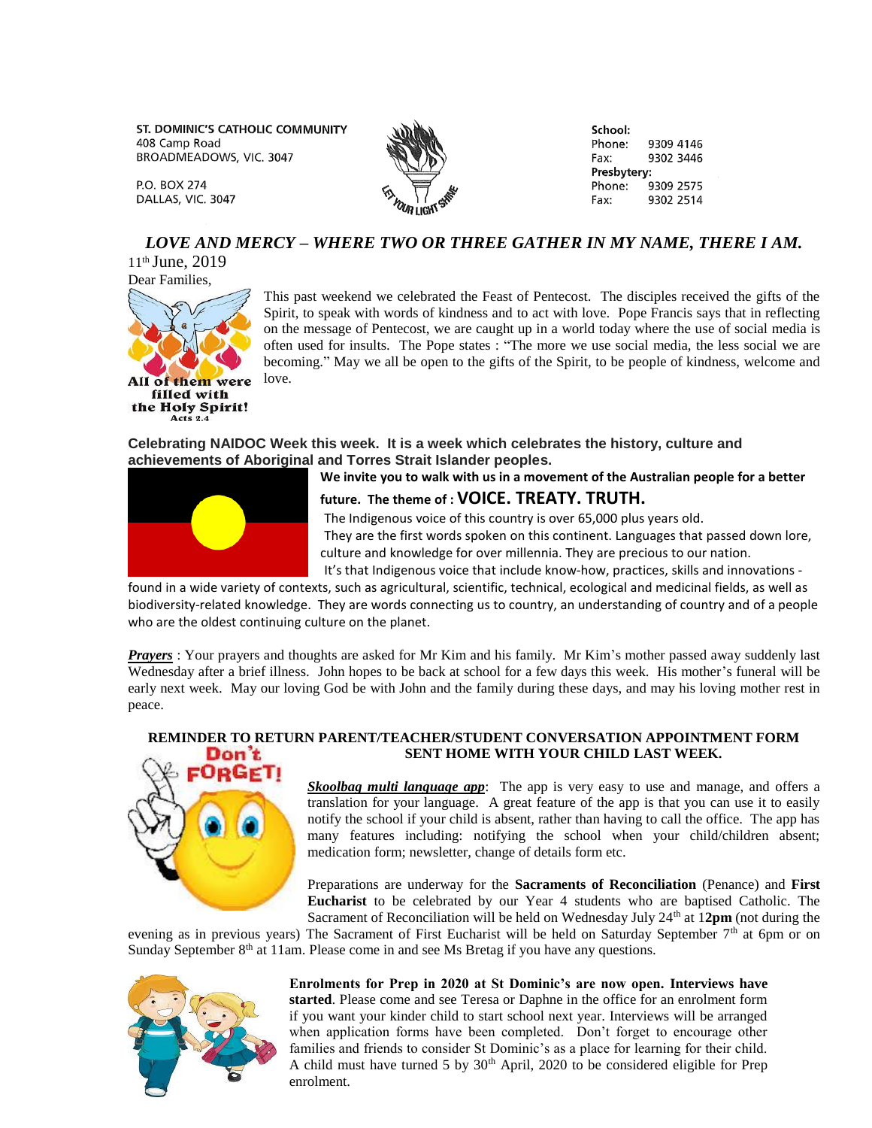ST. DOMINIC'S CATHOLIC COMMUNITY 408 Camp Road BROADMEADOWS, VIC. 3047

**P.O. BOX 274** DALLAS, VIC. 3047



School: Phone: 9309 4146 Fax: 9302 3446 Presbytery: Phone: 9309 2575 9302 2514 Fax:

# *LOVE AND MERCY – WHERE TWO OR THREE GATHER IN MY NAME, THERE I AM.*

11th June, 2019 Dear Families,



This past weekend we celebrated the Feast of Pentecost. The disciples received the gifts of the Spirit, to speak with words of kindness and to act with love. Pope Francis says that in reflecting on the message of Pentecost, we are caught up in a world today where the use of social media is often used for insults. The Pope states : "The more we use social media, the less social we are becoming." May we all be open to the gifts of the Spirit, to be people of kindness, welcome and love.

**Celebrating NAIDOC Week this week. It is a week which celebrates the history, culture and achievements of Aboriginal and Torres Strait Islander peoples.**



**We invite you to walk with us in a movement of the Australian people for a better**

**future. The theme of : VOICE. TREATY. TRUTH.** 

The Indigenous voice of this country is over 65,000 plus years old.

They are the first words spoken on this continent. Languages that passed down lore, culture and knowledge for over millennia. They are precious to our nation.

It's that Indigenous voice that include know-how, practices, skills and innovations -

found in a wide variety of contexts, such as agricultural, scientific, technical, ecological and medicinal fields, as well as biodiversity-related knowledge. They are words connecting us to country, an understanding of country and of a people who are the oldest continuing culture on the planet.

*Prayers* : Your prayers and thoughts are asked for Mr Kim and his family. Mr Kim's mother passed away suddenly last Wednesday after a brief illness. John hopes to be back at school for a few days this week. His mother's funeral will be early next week. May our loving God be with John and the family during these days, and may his loving mother rest in peace.

# Don t NoGe

### **REMINDER TO RETURN PARENT/TEACHER/STUDENT CONVERSATION APPOINTMENT FORM SENT HOME WITH YOUR CHILD LAST WEEK.**

*Skoolbag multi language app*: The app is very easy to use and manage, and offers a translation for your language. A great feature of the app is that you can use it to easily notify the school if your child is absent, rather than having to call the office. The app has many features including: notifying the school when your child/children absent; medication form; newsletter, change of details form etc.

Preparations are underway for the **Sacraments of Reconciliation** (Penance) and **First Eucharist** to be celebrated by our Year 4 students who are baptised Catholic. The Sacrament of Reconciliation will be held on Wednesday July 24<sup>th</sup> at 12pm (not during the

evening as in previous years) The Sacrament of First Eucharist will be held on Saturday September 7<sup>th</sup> at 6pm or on Sunday September  $8<sup>th</sup>$  at 11am. Please come in and see Ms Bretag if you have any questions.



**Enrolments for Prep in 2020 at St Dominic's are now open. Interviews have started**. Please come and see Teresa or Daphne in the office for an enrolment form if you want your kinder child to start school next year. Interviews will be arranged when application forms have been completed. Don't forget to encourage other families and friends to consider St Dominic's as a place for learning for their child. A child must have turned 5 by  $30<sup>th</sup>$  April, 2020 to be considered eligible for Prep enrolment.